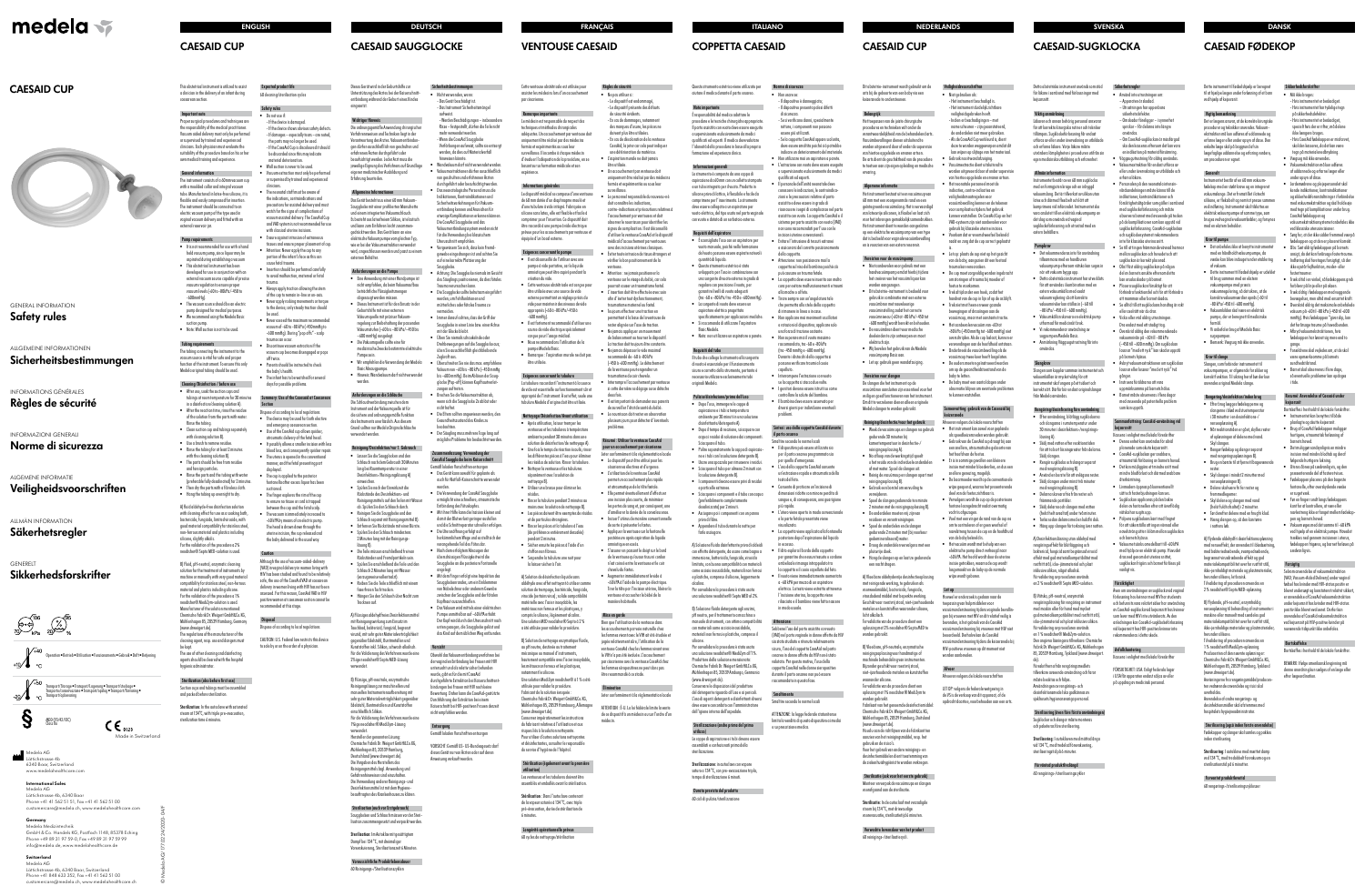© Medela AG/177.0224/2020-04/F







# **CAESAID CUP**

# **CAESAID CUP**



a clinician in the delivery of an infant during 60 cleaning/sterilisation cycle

## GENERAL INFORMATION **Safety rules**

Proper surgical procedures and techniques are the responsibility of the medical practitioner. Vacuum aided delivery must only be performed or supervised by trained and experienced clinicians. Each physician must evaluate the suitability of the procedure based on his or her - If the device is damaged. material deterioration. Wall suction is never to be used.

## ALLGEMEINE INFORMATIONEN

**Sicherheitsbestimmungen**

# INFORMATIONS GÉNÉRALES **Règles de sécurité**

# INFORMAZIONI GENERALI

# **Norme di sicurezza**

ALGEMENE INFORMATIE

# **Veiligheidsvoorschriften**

# ALLMÄN INFORMATION

# **Säkerhetsregler**

# GENERELT **Sikkerhedsforskrifter**



caesarean section. Important note

• The vacuum source should be an electric pump designed for medical purposes. • We recommend using the Medela Basic

own medical training and experience.

General information

The instrument consists of a 60mm vacuum cup with a moulded collar and integral vacuum ube. Manufactured in latex-free silicone, it is flexible and easily compressed for insertion. The instrument should be connected to an electric vacuum pump of the type used in vaginal vacuum delivery and fitted with an

external reservoir jar. Pump requirements • It is not recommended for use with a hand held vacuum pump, since liquor may be aspirated during establishing a vacuum This obstetrical instrument has been developed for use in conjunction with a external vacuum source capable of precise vacuum regulation to ensure proper vacuum levels (-60 to -80kPa/-450 to

-600mmHg).

suction pump. • Note: Wall suction is not to be used.

Tubing requirements The tubing connecting the instrument to the acuum source is vital for safe and proper function of the instrument. To ensure this only Medela original tubing should be used.

- If the device shows obvious safety defects If damages - especially tears - are noted, the parts may no longer be used. - If the CaesAid Cup is discoloured it should be discarded since this may indicate

Cleaning/Disinfection / before use • After use, soak the suction cups and tubings at room temperature for 30 minutes in a disinfection/cleaning solution A). • After the reaction time, rinse the residue of the solution from the parts with water.

## This obstetrical instrument is utilized to assist Expected product life

Rinse the tubing. • Clean suction cup and tubings separately with cleaning solution B). • Use a brush to remove residue. • Rinse the tubing for at least 2 minutes with the cleaning solution B). • The parts should be free from residue and foreign particles. • Rinse the parts and the tubing with water (preferable fully desalinated) for 2 minutes. • Then dry the parts with a fibreless cloth. • Hang the tubing up overnight to dry. A) fluid aldehyde-free disinfection solution with cleaning effect for use as a soaking bath, bactericide, fungicide, limited virucide, with good material compatibility for stainless steel, non-ferrous material and plastics including

- .<br>Vacuum extraction must only be perform or supervised by trained and experienced clinicians.
- and VAD system is not recommended for us
- with classical uterine incisions.
- 
- 
- 
- Never apply rocking movements or torque
- 
- trauma can occur.
- 
- the baby's health.
- 

## ummary: Use of the Casesaid at Caesarea Section

silicone, slightly alkalic. For the validation of the procedure a 2% neodisher® Septo MED-solution is used. B) Fluid, pH-neutral, enzymatic cleaning solution for the treatment of instruments by machine or manually with very good materia compatibility for stainless steel, non-ferrous material and plastics including silicone. For the validation of the procedure a 1% neodisher® MediZym-solution is used. Manufacturer of the solution mentioned: Chemische Fabrik Dr. Weigert GmbH&Co.KG, Mühlenhagen 85, 20539 Hamburg, Germany

assessed. For this reason, CaesAid VAD in HIV positive women at caesarean section cannot be ommended at this stage.

Medela AG Lättichstrasse 4b 6340 Baar, Switzerland www.medelahealthcare.com (www.drweigert.de).

The regulations of the manufacturer of the cleaning agent, resp. use and dangers must

be kept.

The use of other cleaning and disinfecting agents should be cleared with the hospita hygienic administrator.

### Sterilization (also before first use) uction cups and tubings must be assemble and packed before sterilization.

Sterilization: In the autoclave with saturated steam at 134°C, with triple pre-evacuation sterilization time 6 minutes.

Safety rules

## • Do not use if:

Anforderungen an die Pumpe • Eine Anwendung mit einer Handpumpe is nicht empfohlen, da beim Vakuumaufbau beträchtliche Flüssigkeitsmengen abgesaugt werden müssen. Dieses Instrument ist für den Einsatz in de Geburtshilfe mit einer externen Vakuumquelle mit präziser Vakuumregelung zur Beibehaltung der passenden Vakuumstufen (–60 bis –80 kPa/–450 bis –600 mmHg) ausgelegt. • Die Vakuumquelle sollte eine für medizinische Zwecke bestimmte elektrisch

• Die Teile müssen anschließend frei von Rückständen und Fremdpartikeln sein. • Spülen Sie anschließend die Teile und den Schlauch 2 Minuten lang mit Wasser zugsweise vollentsalzt

- 
- The neonatal staff must be aware of the indications, contraindications and precautions for assisted delivery and mus watch for the signs of complications of vacuum assisted delivery. The CaesAid Cup
- Ensure against intrusion of extraneous tissues and ensure proper placement of cup.
- Attention: Never apply the cup to any portion of the infant's face as this can cause fetal trauma.
- Insertion should be performed carefull to avoid malfunction, maternal or fetal trauma.
- Always apply traction allowing the stem of the cup to remain in-line or on-axis.
- to the device; only steady traction should be used.
- Never exceed the maximum recommende vacuum of -60 to -80 kPa (-450mmHg to -600 mmHg). During "pop offs" - scalp
- Discontinue vacuum extraction if the vacuum cup becomes disengaged or pops
- off twice. Parents should be instructed to check
- The infant has to be watched for several
- days for possible problems.

Sterilisation: Im Autoklav mit gesättigtem Dampf bei 134 °C, mit dreimaliger Vorevakuierung, Sterilisationszeit 6 Minute

- Werden Beschädigungen – insbesondere Risse – festgestellt, dürfen die Teile nicht hr verwendet werde - Wenn die CaesAid Saugglocke Verfärbungen aufweist, sollte sie entsorgt werden, da dies auf Materialverfall veisen könnte Wandvakuum darf nicht verwendet werde traktionen dürfen ausschließlich von geschulten und erfahrenen Ärzten durchgeführt oder beaufsichtigt werde • Das neonatologische Personal muss die Indikationen, Kontraindikationen und Sicherheitsvorkehrungen für Vakuumlung kennen und Anzeichen fü etwaige Komplikationen erkennen können. Die CaesAid Saugglocke und das Vakuumentbindungssystem werden nich für die Verwendung bei klassischem Uterusschnitt empfohlen. Vergewissern Sie sich, dass kein Frem gewebe eingedrungen ist und achten Sie auf eine korrekte Platzierung der anlarke

- The device may be used for both elective and emergency caesarean section.
- atraumatic delivery of the fetal head
- blood loss, and consequently quicker repair. • The uterus is opened in the conventional
- displayed. The cup is applied to the posteric
- suctioned. The finger explores the rim of the cup
- to ensure no tissue or cord is trapped between the cup and the fetal scalp.
- -60 kPA by means of an electric pump. The head is drawn down through the uterine incision, the cup released and
- Dispose of according to local regulations
- Use of the CaesAid cup allows quicker
- It possibly allows a smaller incision with les
- manner, and the fetal presenting part
- fontanella after excess liquor has been
- 
- The vacuum is immediately increased t
- the baby delivered in the usual way.
- 
- delivery in women living with HIV has not been

# **Disposal**

• Immer darauf achten, dass der Griff der glocke in einer Linie bzw. einer Achse

## Caution

Although the use of vacuum-aided-delivery (VAD) in vaginal delivery in women living with HIV has been studied and found to be relativel safe, the use of the CaesAid VAD at caesarean

hreiten Sie nie das max. empfohler Vakuum von –60 bis –80 kPa (–450 mmHg bis –600 mmHg). Beim Ablösen der Saugglocke (Pop-off) können Kopfhautverletaen auftreten. • Brechen Sie die Vakuumextraktion ab, wenn sich die Saugglocke 2x ablöst oder

• Der Säugling muss mehrere Tage lang auf mögliche Probleme hin beobachtet werden

Zusammenfassung: Verwendung der CaesAid Saugglocke beim Kaiserschnitt Gemäß lokalen Vorschriften entsorgen • Das Gerät kann sowohl für geplante als auch für Notfall-Kaiserschnitte verwende

Dispose of according to local regulations

CAUTION: U.S. Federal law restricts this device

to sale by or on the order of a physician.

Made in Switzerland

 $\mathsf{CE}_{0123}$ 

#### **International Sales** Medela AG

• Mit dem Finger erfolgt eine Inspektion des Saugglockenrandes, um ein Einklemmen von Nabelschnur oder anderem Geweb zwischen der Saugglocke und der fötalen Kopfhaut auszuschließen. Das Vakuum wird mittels einer elektrische Pumpe unmittelbar auf –60 kPA erhöht. Der Kopf wird durch den Uterusschnitt nach unten gezogen, die Saugglocke gelöst und das Kind auf dem üblichen Weg entbunde

Lättichstrasse 4b, 6340 Baar Phone +41 41 562 51 51, Fax +41 41 562 51 00 customercare@medela.ch, www.medelahealthcare.com

## **Germany** Medela Medizintechnik GmbH & Co. Handels KG, Postfach 1148, 85378 Eching Phone +49 89 31 97 59-0, Fax +49 89 31 97 59 99 info@medela.de, www.medelahealthcare.de

**Switzerland**

Medela AG Lättichstrasse 4b, 6340 Baar, Switzerland Phone +41 848 633 352, Fax +41 41 562 51 00 customercare@medela.ch, www.medelahealthcare.ch



# **ENGLISH DEUTSCH FRANÇAIS**

**CAESAID SAUGGLOCKE**

Dieses Gerät wird in der Geburtshilfe zur Unterstützung des Arztes bei der Kaiserschnittentbindung während der Geburt eines Kindes

eingesetzt.

Informations générales Le dispositif médical se compose d'une ventouse de 60 mm dotée d'un diaphragme moulé et d'une tubulure à vide intégré. Fabriquée en silicone sans latex, elle est flexible et facile à comprimer pour l'insertion. Ce dispositif doit être raccordé à une pompe à vide électrique prévue pour les accouchements par ventouse e quipée d'un bocal externe.

Wichtiger Hinweis Die ordnungsgemäße Anwendung chirurgischer Verfahrensweisen und Techniken liegt in der Verantwortung des Arztes. Vakuumentbindungen dürfen ausschließlich von geschulten und erfahrenen Ärzten durchgeführt oder beaufsichtigt werden. Jeder Arzt muss die jeweilige Eignung des Verfahrens auf Grundlage eigener medizinischer Ausbildung und Erfahrung beurteilen.

Allgemeine Informationen Das Gerät besteht aus einer 60 mm Vakuum-Saugglocke mit einer profilierten Manschette und einem integrierten Vakuumschlauch. Es besteht aus latexfreiem Silikon, ist elastisch und kann zum Einführen leicht zusammengedrückt werden. Das Gerät kann an eine elektrische Vakuumpumpe vom gleichen Typ, wie er bei der Vakuumextraktion verwendet wird, angeschlossen werden und passt zu einem

externen Behälter.

Pumpe sein.

• Wir empfehlen die Verwendung der Medela

Basic Absaugpumpe.

• Hinweis: Wandvakuum darf nicht verwendet

werden.

Anforderungen an die Schläuche Die Schlauchverbindung zwischen dem Instrument und der Vakuumquelle ist fü die sichere und ordnungsgemäße Funktion des Instruments unerlässlich. Aus diesem Grund sollten nur Medela Originalschläuche

verwendet werden.

Reinigung/Desinfektion/vor 1. Gebrauch • Lassen Sie die Saugglocken und den Schlauch nach dem Gebrauch 30 Minuten lang bei Raumtemperatur in eine Desinfektions-/Reinigungslösung A)

einweichen.

• Spülen Sie nach der Einwirkzeit die Rückstände des Desinfektions- und Reinigungsmittels auf den Teilen mit Wasser ab. Spülen Sie den Schlauch durch. • Reinigen Sie die Saugglocke und den Schlauch separat mit Reinigungsmittel B). • Entfernen Sie Rückstände mit einer Bürste. • Spülen Sie den Schlauch mindestens 2 Minuten lang mit der Reinigungs-

lösung B).

• Reiben Sie die Teile schließlich mit einem faserfreien Tuch trocken. • Hängen Sie den Schlauch über Nacht zum

Trocknen auf. A) Flüssiges aldehydfreies Desinfektionsmittel mit Reinigungswirkung zum Einsatz im Tauchbad, bakterizid, fungizid, begrenzt

viruzid, mit sehr guter Materialverträglichkeit gegenüber Edelstahl, Buntmetallen und Kunststoffen inkl. Silikon, schwach alkalisch. Für die Validierung des Verfahrens wurde eine 2%ige neodisher® Septo MED-Lösung verwendet.

Il est important de demander aux parent de surveiller l'état de santé du bébé. Le nourrisson doit rester en observation plusieurs jours pour détecter d'éventuels

B) Flüssige, pH-neutrale, enzymatische Reinigungslösung zur maschinellen und manuellen Instrumentenaufbereitung mit sehr guter Materialverträglichkeit gegenüber Edelstahl, Buntmetallen und Kunststoffen einschließlich Silikon.

Für die Validierung des Verfahrens wurde eine 1%ige neodisher® MediZym-Lösung verwendet. Hersteller der genannten Lösung:

Chemische Fabrik Dr. Weigert GmbH&Co.KG, Mühlenhagen 85, 20539 Hamburg Deutschland (www.drweigert.de). Die Vorgaben des Herstellers des Reinigungsmittels bzgl. Anwendung und Gefahrenhinweisen sind einzuhalten. Die Verwendung anderer Reinigungs- und Desinfektionsmittel ist mit dem Hygiene-

beauftragten des Krankenhauses zu klären.

Sterilisation (auch vor Erstgebrauch) Saugglocken und Schlauch müssen vor der Sterilisation zusammengesetzt und verpackt werden.

Voraussichtliche Produktlebensdauer 60 Reinigungs-/Sterilisationszyklen

Sicherheitsbestimmungen • Nicht verwenden, wenn - Das Gerät beschädigt ist. - Das Instrument Sicherheitsmängel

aufweist.

• Achtung: Die Saugglocke niemals im Gesicht des Säuglings positionieren, da dies fötales a verursachen kann Die Saugglocke sollte behutsam eingeführ werden, um Fehlfunktionen und mütterliches oder fötales Trauma zu

vermeiden.

mit der Glocke bleibt. Üben Sie niemals schaukelnde ode Drehbewegungen auf die Saugglocke aus; üben Sie ausschließlich gleichbleibende

Zugkraft aus.

sterilizzazione. Sterilizzazione: in autoclave con vapore

nicht haftet.

• Die Eltern sollten angewiesen werden, den Gesundheitszustand des Kindes zu

beobachten.

 $\cdot$  L'estrazione con vuoto deve essere eseguit ionata esclusivamente da medio qualificati ed esperti. Il personale dell'unità neonatale dev conoscere le indicazioni, le controindica-

• Evitare l'intrusione di tessuti estranei e assicurarsi del corretto posizionamento

La coppetta deve essere inserita con molto

werden.

• Die Verwendung der CaesAid Saugglocke ermöglicht eine schnellere, atraumatische Entbindung des Fötuskopfes. • Mit ihrer Hilfe kann die Inzision kleiner und damit der Blutverlust geringer ausfallen und die Schnittreparatur schneller erfolgen. • Die Uterusöffnung erfolgt auf herkömmlichem Wege und es stellt sich der vorangehende Teil des Fötus dar. • Nach dem erfolgtem Absaugen der issigen Flüssigkeit wird di Saugglocke an die posteriore Fontanelle

angelegt.

Vorsicht

Obwohl das Vakuumentbindungsverfahren bei der vaginalen Entbindung bei Frauen mit HIV untersucht und als relativ sicher befunden wurde, gibt es für die mit CaesAid durchgeführte Extraktion bei Kaiserschnittentbindungen bei Frauen mit HIV noch keine Bewertung. Daher kann die CaesAid-gestützte Durchführung der Extraktion bei einem Kaiserschnitt bei HIV-positiven Frauen derzeit

nicht empfohlen werden. Entsorgung Gemäß lokalen Vorschriften entsorgen VORSICHT: Gemäß US- US-Bundesgesetz darf dieses Gerät nur von Ärzten oder auf deren Anweisung verkauft werden.

**VENTOUSE CAESAID**

## Cette ventouse obstétricale est utilisée pour assister les médecins lors d'un accouchement

verantwoordelijkheid van de behandelend art Vacuümbevallingen dienen uitsluitend te worden uitgevoerd door of onder de supervisie van hiertoe opgeleide en ervaren artsen. De arts dient de geschiktheid van de procedure te toetsen aan zijn eigen opleiding en medische

par césarienne.

Remarque importante Le médecin est responsable du respect des techniques et méthodes chirurgicales adéquates. Un accouchement par ventouse doit uniquement être réalisé par des médecins formés et expérimentés ou sous leur urveillance. Il incombe à chaque médeci d'évaluer l'adéquation de la procédure, en se basant sur sa formation médicale et son

expérience.

let instrument bestaat uit een vacuümcup van 60 mm met een voorgevormde rand en een eïntegreerde vacuümslang. Het is vervaardig van latexvrije siliconen, is flexibel en laat zich voor het inbrengen gemakkelijk samendrukken. Het instrument dient te worden aangesloten op een elektrische vacuümpomp van een type dat is bedoeld voor vaginale vacuümbevalling en is voorzien van een extern reservoir. Vereisten voor de vacuümpomp • Niet aanbevolen voor gebruik met een handvacuümpomp omdat hierbij tijder het creëren van het vacuüm liquor kan worden aangezogen. • Dit obstetrie-instrument is bedoeld voor gebruik in combinatie met een externe vacuümbron met nauwkeurige vacuüminstelling zodat het correct vacuümniveau (-60 tot -80 kPa/-450 tot -600 mmHg) wordt bereikt en behouden. • De vacuümbron dient voor medische doeleinden te zijn ontworpen en moet

Exigences concernant la pompe • Il est déconseillé de l'utiliser avec une pompe à vide portative, car le liquide amniotique peut être aspiré pendant la

création du vide.

• Hang de slangen op en laat ze gedurend een nacht drogen.

• Cette ventouse obstétricale est conçue pour être utilisée avec une source de vide externe permettant un réglage précis du vide pour maintenir des niveaux de vide appropriés (-60 à -80 kPa/-450 à

> A) Vloeibare aldehydevrije desinfectieoploss met reinigende werking, te gebruiken als voorweekmiddel, bactericide, fungicide, virusdodend middel met beperkte werking. Geschikt voor roestvrij staal, niet-ijzerhouden metalen en kunststoffen waaronder silicone,

-600 mmHg).

• Il est fortement recommandé d'utiliser une source de vide électrique spécialement conçue pour l'usage médical. • Nous recommandons l'utilisation de la pompe Medela Basic.

> B) Vloeibare, pH-neutrale, enzymatisch reinigingsoplossing voor handmatige of machinale behandeling van instrumen Bijzonder geschikt voor roestvrij staal, niet-iizerhoudende metalen en kur waaronder silicone.

• Remarque : l'aspiration murale ne doit pas

être utilisée.

Exigences concernant la tubulure La tubulure raccordant l'instrument à la source de vide est essentielle au fonctionnement sûr et approprié de l'instrument. À cet effet, seule une tubulure Medela d'origine doit être utilisée. Nettoyage/Désinfection/Avant utilisation • Après utilisation, laisser tremper les ventouses et les tubulures à température ambiante pendant 30 minutes dans une solution de désinfection/de nettoyage A). • Une fois le temps de réaction écoulé, rincer les différentes pièces à l'eau pour éliminer les résidus de solution. Rincer la tubulure. • Nettoyer la ventouse et les tubulures séparément avec la solution de nettoyage B).

• Utiliser une brosse pour éliminer les

Rincer la tubulure pendant 2 minutes a moins avec la solution de nettoyage B). Les pièces doivent être exemptes de résidus et de particules étrangères. • Rincer les pièces et la tubulure à l'eau (de préférence entièrement dessalée) pendant 2 minutes. • Sécher ensuite les pièces à l'aide d'un chiffon non fibreux. • Suspendre la tubulure une nuit pour la laisser sécher à l'air. A) Solution de désinfection liquide sans aldéhyde avec effet nettoyant à utiliser comme solution de trempage, bactéricide, fongicide, virucide (certains virus) ; solide compatibilité matérielle avec l'acier inoxydable, les matériaux non ferreux et les plastiques, y compris le silicone, légèrement alcalins. Une solution MED neodisher® Septo à 2 % a été utilisée pour valider la procédure. B) Solution de nettoyage enzymatique fluide, au pH neutre, destinée au traitement mécanique ou manuel d'instruments, hautement compatible avec l'acier inoxydable, les métaux non ferreux et les plastiques, otamment le silicone.

résidus.

Une solution MediZym neodisher® à 1 % a été utilisée pour valider la procédure. abricant de la solution évoquée Chemische Fabrik Dr. Weigert GmbH&Co.KG, Mühlenhagen 85, 20539 Hambourg, Allemagne

(www.drweigert.de).

Conserver impérativement les instructions du fabricant relatives à l'utilisation et aux isques liés à la solution nettoyante. Pour utiliser d'autres solutions nettoyante et désinfectantes, consulter le responsable du service d'hygiène de l'hôpital.

Stérilisation (également avant la première

utilisation)

Les ventouses et les tubulures doivent être assemblés et emballés avant la stérilisation. Stérilisation : Dans l'autoclave contenant de la vapeur saturée à 134 °C, avec triple pré-évacuation, durée de stérilisation de

6 minutes.

Longévité opérationnelle prévue 60 cycles de nettoyage/stérilisation

Règles de sécurité • Ne pas utiliser si : Le dispositif est endommag - Le dispositif présente des défaut: de sécurité évidents. - En cas de dommages, notammen des marques d'usure, les pièces ne doivent plus être utilisées. - En cas de décoloration de la ventous CaesAid, la jeter car cela peut indique une détérioration du matériau. • L'aspiration murale ne doit jamais

être utilisée.

• Un accouchement par ventouse doit uniquement être réalisé par des médecin formés et expérimentés ou sous leur

surveillance.

• Le personnel responsable du nouveau-né doit connaître les indications, contre-indications et précautions relatives à l'accouchement par ventouses et doit observer le nourrisson pour identifier les signes de complication. Il est déconseillé d'utiliser la ventouse CaesAid et le dispositif médical d'accouchement par ventouses avec des incisions utérines classiques. • Éviter toute intrusion de tissus étrangers et vérifier le bon positionnement de la

ventouse.

• Attention : ne jamais positionner la ventouse sur le visage du bébé, car cela pourrait causer un traumatisme fœtal. .<br>L'insertion doit être effectuée avec soi afin d'éviter tout dysfonctionnemen traumatisme maternel ou fœtal. • Toujours effectuer une traction en permettant à la base de la ventouse de rester alignée sur l'axe de traction. Ne jamais appliquer un mouvemen de balancement ou tourner le dispositif. La traction doit toujours être constante. • Ne jamais dépasser le vide maximal recommandé de -60 à -80 kPa (-450 à -600 mmHg). Le détacheme de la ventouse peut engendrer un traumatisme du cuir chevelu. • Interrompre l'accouchement par ventouse si cette dernière se dégage ou se détache

deux fois.

problèmes.

Personalen på den neonatala intensi vårdsavdelningen måste känna till de indikationer, kontraindikationer och försiktighetsåtgärder som gäller i samband med sugklockeförlossning och måste observera barnet med avseende på tecken på de komplikationer som kan uppstå vid sugklockeförlossning. CaesAid-sugklockan och sugklockesystemet rekommendera inte för klassiska uterina snitt. Se till att ingen främmande vävnad hamna mellan sugklockan och huvudet och att sugklockan är korrekt placerad. • Obs! Fäst aldrig sugklockan på någon del av barnets ansikte eftersom detta kan orsaka skador på barnet. Placera sugklockan försiktigt för att förhindra funktionsfel och för att förhindra att mamman eller barnet skadas. • Se alltid till att sugklockans handtag är rakt eller axelrätt när du drar. Vicka eller vrid aldrig utrustninger endast med ett stadigt tag. Överskrid aldrig den rekomme vakuumnivån på –60 till –80 kPa (–450 till –600 mmHg). Om sugklockan lossnar "med ett ryck" kan skador uppstå

Avbryt vakuumextraktionen om sugklocka lossnar eller lossnar "med ett ryck" två

anfattning: CaesAid-användning vi

• Instruera föräldrarna att vara uppmärksamma på barnets hälsa. Barnet måste observeras i flera daga med avseende på potentiella proble

Résumé : Utiliser la ventouse CaesAid pour un accouchement par césarienne Jeter conformément à la réglementation local • Le dispositif peut être utilisé pour les césariennes électives et d'urgence. • L'utilisation de la ventouse CaesAid permet un accouchement plus rapid et atraumatique de la tête fœtale. • Elle permet éventuellement d'effectue une incision plus courte, de minimiser les pertes de sang et, par conséquent, une d'améliorer la durée de la convalescence. Inciser l'utérus de manière conve de sorte à présenter le fœtus. Appliquer la ventouse sur la fontanell postérieure après aspiration du liquide amniotique en excès. • S'assurer en passant le doigt sur le bord de la ventouse qu'aucun tissu ni cordon n'est coincé entre la ventouse et le cuir

Livmodern öppnas på konventionell sätt och fosterbjudningen kan ses. • Sugklockan appliceras på den bakre delen av fontanellen efter att överflödig vätska har sugits upp. Palpera sugklockans kant med fingr för att säkerställa att ingen vävnad eller navelsträng sitter i kläm mellan sugklockan

chevelu du fœtus. Augmenter immédiatement le vide à -60 kPA à l'aide de la pompe électrique. Tirer la tête par l'incision utérine, libérer la ventouse et accoucher le bébé de la manière habituelle.

Mise en garde Bien que l'utilisation de la ventouse dans les accouchements par voie naturelle chez les femmes vivant avec le VIH ait été étudiée jugée relativement sûre, l'utilisation de la ventouse CaesAid chez les femmes vivant avec le VIH n'a pas été évaluée. L'accouchement par césarienne avec la ventouse CaesAid chez les femmes séropositives ne peut donc pas être recommandé à ce stade.

Dette instrument til fødselshjælp er udviklet til brug sammen med en ekstern vakuumpumpe med præcis vakuumregulering, så det sikres, at de korrekte vakuumværdier opnås (-60 til -80 kPa/-450 til -600 mmHg). • Vakuumkilden skal være en elektrisk pumpe, der er beregnet til medicinske

Élimination Jeter conformément à la réglementation locale ATTENTION : É-U. La loi fédérale limite la vente de ce dispositif à un médecin ou sur l'ordre d'un

médecin.

# **COPPETTA CAESAID**

## Questo strumento ostetrico viene utilizzato per aiutare il medico durante il parto cesareo.

## Nota importante

È responsabilità del medico adottare le procedure e le tecniche chirurgiche appropriate. Il parto assistito con vuoto deve essere eseguito o supervisionato esclusivamente da medici qualificati ed esperti. Il medico deve valutare l'idoneità della procedura in base alla propria formazione ed esperienza clinica.

## Informazioni generali

Lo strumento è composto da una coppa di aspirazione da 60 mm con un colletto stampato e un tubo integrato per il vuoto. Prodotto in silicone privo di lattice, è flessibile e facile da mere per l'inserimento. Lo strumento deve essere collegato a un aspiratore per vuoto elettrico, del tipo usato nel parto vaginale con vuoto e dotato di un serbatoio esterno.

> il validering af proceduren anvendes en 1 % neodisher® MediZym-opløsning. roducenten af den nævnte opløsning Chemische Fabrik Dr. Weigert GmbH&Co.KG, Mühlenhagen 85, 20539 Hamborg, Tyskland

## Requisiti dell'aspiratore

- È sconsigliato l'uso con un aspiratore per vuoto manuale, poiché nella formazione del vuoto possono essere aspirate notevoli quantità di liquido.
- Questo strumento ostetrico è stato sviluppato per l'uso in combinazione co una sorgente di vuoto esterna in grado di regolare con precisione il vuoto, per garantire livelli di vuoto adeguati ,<br>tra -60 e -80 kPa/tra -450 e -600 mmHg).
- La sorgente di vuoto deve essere un aspiratore elettrico progettato specificatamente per applicazioni mediche.
- Si raccomanda di utilizzare l'aspiratore Basic Medela. • Nota: non utilizzare un aspiratore a parete.

- Hvis instrumentet er heskadige - Hvis instrumentet har tydelige tegn på sikkerhedsdefekter. Hvis instrumentet er beskadige specielt hvis der er rifter, må delene ikke længere bruges. - Hvis CaesAid fødekoppen er misfarve skal den kasseres, da det kan være tegn på materialenedbrydning. • Vægsug må ikke anvendes. Vakuumekstraktion må kun udføre af uddannede og erfarne læger eller under opsyn af disse. • Jordemødrene og plejepersonalet skal kende indikationer, kontraindikatione og sikkerhedsforanstaltninger i forbindels med vakuumekstraktion og skal holde øje med tegn på komplikationer under brug. CaesAid fødekoppen og

Requisiti del tubo Il tubo che collega lo strumento alla sorgente di vuoto è essenziale per il funzionamento sicuro e corretto dello strumento, pertanto è necessario utilizzare esclusivamente tubi

originali Medela.

# Pulizia/disinfezione/prima dell'uso

• Forældrene skal vejledes om, at de skal være opmærksomme på barnets sundhedstilstand. • Barnet skal observeres i flere dage, så eventuelle problemer kan opdage:

• Dopo l'uso, immergere le coppe di aspirazione e i tubi a temperatura ambiente per 30 minuti in una soluzione disinfettante/detergente A).

- Dopo il tempo di reazione, sciacquare con
- Pulire separatamente la coppa di aspirazio-
- 
- - più rapida.
- Appendere il tubo durante la notte per
- A) Soluzione fluida disinfettante priva di aldeidi
- acqua i residui di soluzione dai componenti. Sciacquare il tubo.
- ne e i tubi con la soluzione detergente B). Usare una spazzola per rimuovere i resid
- Sciacquare il tubo per almeno 2 minuti con la soluzione detergente B).
- I componenti devono essere privi di residui e particelle estranee.
- Sciacquare i componenti e il tubo con acqua (preferibilmente completamente desalinizzata) per 2 minuti.
- Asciugare poi i componenti con un p privo di fibre.
- farlo asciugare.
- con effetto detergente, da usare come bagno a immersione, battericida, fungicida, virucida limitato, con buona compatibilità con materiali come acciaio inossidabile, materiali non ferrosi

e plastiche, compreso il silicone, leggermente

alcalina. Per convalidare la procedura è stata usata

una soluzione neodisher® Septo MED al 2%.

B) Soluzione fluida detergente agli enzimi, pH neutro, per il trattamento a macchina manuale di strumenti, con ottima compatibilità con materiali come acciaio inossidabile, materiali non ferrosi e plastiche, compreso il

silicone. Per convalidare la procedura è stata usata una soluzione neodisher® MediZym all'1%. Produttore della soluzione menzionata: Chemische Fabrik Dr. Weigert GmbH&Co.KG, Mühlenhagen 85, 20539 Amburgo, Germania

(www.drweigert.de). Conservare le disposizioni del produttore del detergente riguardo all'uso e ai pericoli. L'uso di agenti detergenti e disinfettanti diversi

deve essere concordato con l'amministratore dell'igiene interna dell'ospedale.

Sterilizzazione (anche prima del primo utilizzo) Le coppe di aspirazione e i tubi devono essere assemblati e confezionati prima della

tempo di sterilizzazione 6 minuti.

Durata prevista del prodotto

60 cicli di pulizia/sterilizzazione

## Norme di sicurezza • Non usare se:

## - Il dispositivo è danneggiato; - Il dispositivo presenta palesi difetti

di sicurezza. - Se si verificano danni, specialmente rotture, i componenti non possono essere più utilizzati. - Se la coppetta CaesAid appare scolorit deve essere smaltita poiché ciò potrebbe indicare un deterioramento del materiale. • Non utilizzare mai un aspiratore a parete.

zioni e le precauzioni relative al parto

assistito e deve essere in grado di riconoscere i segni di complicanze nel pa assistito con vuoto. La coppetta CaesAid e il sistema per parto assistito con vuoto (VAD) non sono raccomandati per l'uso con le incisioni uterine convenzionali.

- della coppetta. Attenzione: non posizionare mai lo coppetta sul viso del bambino poiché ciò può causare un trauma fetale.
- cura per evitare malfunzionamenti e traur alla madre o al feto. Tirare sempre con un'angolatura tal che permetta allo stelo della coppetta
- Non applicare mai movimenti oscillatori o rotazioni al dispositivo; applicare solo una forza di trazione costante. Non superare mai il vuoto massir
- Durante i distacchi della coppetta si capelluto.
- 
- di rimanere in linea o in asse.
- raccomandato, tra -60 e -80 kPa (tra -450 mmHg e -600 mmHg).
- possono verificare traumi al cuoi Interrompere l'estrazione con vuoto se la coppetta si stacca due volte.

• I genitori devono essere istruiti su come controllare la salute del bambino. Il bambino deve essere osservato pe diversi giorni per individuare eventuali

problemi.

Sintesi: uso della coppetta CaesAid durante

- il parto cesareo Smaltire secondo le norme locali • Il dispositivo può essere utilizzato sia
	- per il parto cesareo programmato sia per quello d'emergenza. L'uso della coppetta CaesAid consente
		- un'estrazione rapida e atraumatica della testa del feto. • Consente di praticare un'incisione di
		- dimensioni ridotte con minore perdita di sangue e, di conseguenza, una guarigione
		- L'utero viene aperto in modo convenziona e la parte fetale presentata viene visualizzata.  $\bullet$  La coppetta viene applicata alla fontanell
		- posteriore dopo l'aspirazione del liquido in eccesso. • Il dito esplora il bordo della coppetta
		- per garantire che nessun tessuto o cordon ombelicale rimanga intrappolato tra la coppetta e il cuoio capelluto del feto. Il vuoto viene immediatamente aumentat a -60 kPA per mezzo di un aspiratore

elettrico. La testa viene estratta attraverso l'incisione uterina, la coppetta viene rilasciata e il bambino viene fatto nascere

## in modo usuale. Attenzione

Sebbene l'uso del parto assistito con vuoto (VAD) nel parto vaginale in donne affette da HIV a stato studiato e ritenuto relativament sicuro, l'uso del coppetta CaesAid nel parto cesareo in donne affette da HIV non è stato valutato. Per questo motivo, l'uso della coppetta CaesAid nelle donne sieropositive durante il parto cesareo non può essere raccomandato in questa fase.

## Smaltimento Smaltire secondo le norme locali

o su prescrizione medica.

saturo a 134 °C, con pre-evacuazione tripla

**CAESAID CUP**

keizersnede te ondersteunen. Belangrijk Het toepassen van de juiste chirurgische procedures en technieken valt onder de

ervaring.

Algemene informatie

elektrisch zijn.

• Wij bevelen het gebruik van de Medela vacuümpomp Basic aan. • Let op: gebruik geen wandafzuiging.

Vereisten voor slangen De slangen die het instrument op de

Om dit te verzekeren dienen alleen originele Medela slangen te worden gebruikt.

ATTENZIONE: la legge federale statunitense limita la vendita di questo dispositivo ai medici worden gebruikt. Fabrikant van het genoemde desinfectiemiddel: Chemische Fabrik Dr. Weigert GmbH&Co.KG, Mühlenhagen 85, 20539 Hamburg, Duitsland (www.drweigert.de). Houd u aan de richtlijnen van de fabrikant ten aanzien van het reinigingsmiddel, resp. het gebruik en de risico's. Voor het gebruik van andere reinigings- en

Reiniging/desinfectie/voor het gebruik • Week de vacuümcups en slangen na gebruik gedurende 30 minuten bij kamertemperatuur in desinfectie-/ reinigingsoplossing A). Na afloop van de werkingstijd spoe u het residu van de individuele onderdele af met water. Spoel de slangen uit. • Reinig de vacuümcup en slangen apart met reinigingsoplossing B). • Gebruik een borstel om vervuiling te

#### Dit obstetrie-instrument wordt gebruikt om de arts bij de geboorte van een baby via een Veiligheidsvoorschriften • Niet gebruiken als: - .<br>et instrument beschadiad i - Het instrument duidelijk zichtbare

verwijderen.

• Spoel de slangen gedurende ten minste 2 minuten met de reinigingsoplossing B). • De onderdelen moeten vrij zijn van residuen en verontreinigingen. Spoel de onderdelen en de slange gedurende 2 minuten met (bij voorkeur gedemineraliseerd) water. • Droog de onderdelen vervolgens met ee pluisvrije doek.

licht alkalisch.

Ter validatie van de procedure dient een oplossing met 2% neodisher® Septo MED te

worden gebruikt.

Ter validatie van de procedure dient een oplossing met 1% neodisher® MediZym te

desinfectiemiddelen dient toestemming van de ziekenhuishygiënist te worden verkregen. Sterilisatie (ook voor het eerste gebruik)

vacuümbron aansluiten zijn essentieel voor het veilig en goed functioneren van het instrument. te kunnen vaststellen.

### envatting: gebruik van de Casesaid bij keizersnede Afvoeren volgens de lokale voorschriften

Monteer en verpak de vacuümcups en slangen voorafgaand aan de sterilisatie.

Sterilisatie: In de autoclaaf met verzadigde stoom bij 134 °C, met drievoudige voorevacuatie, sterilisatietijd 6 minuten.

Verwachte levensduur van het product 60 reinigings-/sterilisatiecycli.

veiligheidsgebreken heeft. - Indien er beschadigingen – met name scheuren – zijn geconstateerd, de onderdelen niet meer gebruike - Als de CaesAid Cup verkleurd is, dient deze te worden weggeworpen omdat dit kan wijzen op slijtage van het materiaal. • Gebruik nooit wandafzuiging. • Vacuümextractie dient uitsluitend te worden uitgevoerd door of onder supervisie van hiertoe opgeleide en ervaren artsen. • Het neonatale personeel moet de

- indicaties, contra-indicaties en veiligheidsmaatregelen voor vacuümbevalling kennen en de tekene voor complicaties tijdens het gebruik n vaststellen. De CaesAid Cup en he
- VAD-systeem zijn niet aanbevolen voor gebruik bij klassieke uterine incisies. • Voorkom dat er vreemd weefsel bekneld raakt en zorg dat de cup correct geplaatst
- is. • Let op: plaats de cup niet op het gezicht
- van de baby, aangezien dit een foetaal trauma kan veroorzaken. De cup moet zorgvuldig worden ingebrach om storingen of trauma bij moeder of
- etus te voorkomen • Trek altijd onder een hoek, zodat het handvat van de cup in lijn of op de as blijft.
- Trek niet met heen en weer gaande bewegingen of draaiingen aan de vacuümcup, maar met constante tractie.
- .<br>volen vacuüm van -60 tot -80 kPa (-450 mmHg tot -600 mmHg) niet overschrijden. Als de cup loslaat, kunnen verwondingen aan de hoofdhuid ontstaan.
- Onderbreek de vacuümbevalling als de vacuümcup twee keer heeft losgelaten. .<br>De ouders moeten geïnstrueerd worde
- om op de gezondheidstoestand van de baby te letten. • De baby moet een aantal dagen onder observatie blijven om eventuele problemen

• Het instrument kan zowel voor geplande als spoedkeizersneden worden gebruikt. • Gebruik van de CaesAid cup draagt bij aan een snellere, atraumatische geboorte van

het hoofd van de foetus. Er is in sommige gevallen een kleiner incisie met minder bloedverlies, en dus een snellere genezing, mogelijk. .<br>baarmoeder wordt op de conventione wijze geopend, waarna het presenterende eel van de foetus zichtbaar is. • Vervolgens wordt de cup op de posterieure fontanel aangebracht nadat overmatig

vocht is afgezogen.

• Voel met een vinger de rand van de cup na om te controleren of er geen weefsel of navelstreng tussen de cup en de hoofdhuid

van de baby bekneld is. • Het vacuüm wordt met behulp van een elektrische pomp direct verhoogd naar -60 kPA. Het hoofd wordt door de uterin incisie getrokken, waarna de cup wordt losgemaakt en de baby op de normale

wijze wordt geboren.

Let op

Hoewel er onderzoek is gedaan naar de toepassing van hulpmiddelen voor vacuümondersteuning tijdens vaginale bevallingen bij vrouwen met HIV en dit relatief veilig is bevonden, is het gebruik van de CaesAid

beoordeeld. Derhalve kan de CaesAid uümondersteuning tijdens de keizersnede bi HIV-positieve vrouwen op dit moment niet

worden aanbevolen.

Afvoer

.<br>vaning bij vrouwen met HIV ni

Afvoeren volgens de lokale voorschriften LET OP: volgens de federale wetgeving in de VS is de verkoop van dit apparaat, of de opdracht daartoe, voorbehouden aan een arts. **CAESAID-SUGKLOCKA**

Detta obstetriska instrument används som stöd för läkare i samband med förlossningar med

kejsarsnitt.

Viktig anmärkning Läkaren och annan behörig personal ansvarar för att korrekta kirurgiska rutiner och tekniker tillämpas. Sugklockeförlossning får endast utföras av eller under övervakning av utbildad och erfarna läkare. Varje läkare måste utvärdera lämpligheten i proceduren utifrån sin egen medicinska utbildning och erfarenhet.

Allmän information

Instrumentet består av en 60 mm sugklocka med en formgjuten krage och en inbyggd vakuumslang. Det är tillverkat av silikon utan latex och därmed flexibelt och lätt att komprimera vid införandet. Instrumentet sk vara anslutet till en elektrisk vakuumpump av det slag som används vid vaginal sugklockeförlossning och utrustad med en

extern behållare.

Pumpkrav • Det rekommenderas inte för användning tillsammans med en handburen vakuumpump eftersom vätska kan sugas in när ett vakuum byggs upp. Detta obstetriska instrument har utveckla för att användas i kombination med en extern vakuumkälla med exakt vakuumreglering så att korrekta vakuumnivåer kan ställas in (–60 till –80 kPa/–450 till –600 mmHg).  $V$ akuumkällan ska vara en elektrisk utformad för medicinskt bruk. • Vi rekommenderar användning av sugpumpen Medela Basic. • Anmärkning Väggsugutrustning får inte

användas.

Slangkrav Slangen som kopplar samman instrumentet och vakuumkällan är mycket viktig för att instrumentet ska fungera på ett säkert och korrekt sätt. Därför bör endast originalslangar

från Medela användas.

Rengöring/desinficering före användning • Efter användning, blötlägg sugklockorna och slangarna i rumstemperatur under 30 minuter i desinfektions-/rengörings-

lösning A).

• Skölj med vatten efter reaktionstiden för att ta bort lösningsrester från delarna.

Skölj slangen.

• Rengör sugklocka och slangar separat med rengöringslösning B). • Använd en borste för att avlägsna rester. • Skölj slangen under minst två minuter med rengöringslösning B). • Delarna ska vara fria från rester och främmande partiklar. • Skölj delarna och slangen med vatten (helst helt avsaltat) under två minuter. • Torka sedan delarna med en luddfri duk. • Häng upp slangen för torkning över natten. A) Desinfektionslösning utan aldehyd me rengöringseffekt för blötläggning och baktericid, fungicid samt begränsad virucid effekt med god materialkompatibilitet med rostfritt stål, icke-järnmaterial och plast inklusive silikon, något alkalisk. För validering av proceduren använd en 2 % neodisher® Septo MED-solution. B) Vätska, pH-neutral, enzymatisk rengöringslösning för rengöring av instrumen med maskin eller för hand med mycket god materialkompatibilitet med rostfritt stål, icke-järnmaterial och plast inklusive silikon. För validering av proceduren används en 1 % neodisher® MediZym-solution. Den angivna lösningens tillverkare: Chemische Fabrik Dr. Weigert GmbH&Co.KG, Mühlenhagen 85, 20539 Hamburg, Tyskland (www.drweigert.

de).

Föreskrifterna från rengöringsmedlets tillverkare avseende användning och faror måste beaktas och följas. Användningen av rengörings- och desinfektionsmedel ska godkännas a sjukhusets hygienansvariga personal.

Sterilisering (även före första användningen) Sugklockor och slangar måste monteras och paketeras före sterilisering.

Sterilisering: I autoklaven med mättad ånga vid 134 °C, med tredelad förevakuering, steriliseringstid på 6 minuter.

Förväntad produktlivslängd 60 rengörings-/steriliseringscykler

Säkerhetsregler Använd inte utrustningen om – Apparaten är skadad. Utrustningen har uppenbar säkerhetsdefekter. – Om skador föreligger – i synnerhet sprickor – får delarna inte längre

användas.

– Om CaesAid-sugklockan är missfärgad ska den kasseras eftersom det kan vara en indikation på materialförsämring. • Väggsugutrustning får aldrig användas. • Vakuumextraktion får endast utföras av eller under övervakning av utbildade och

erfarna läkare.

på barnets hjässa.

gånger.

som kan uppstå.

kejsarsnitt

Kassera i enlighet med lokala föreskrifter • Denna enhet kan användas för såväl planerade som akuta kejsarsnitt. • CaesAid-sugklockan ger snabbare, atraumatisk förlösning av barnets huvud. • Det kan möjliggöra ett mindre snitt med mindre blodförlust och därmed snabbare

återhämtning.

och barnets hjässa.

• Vakuumet sänks omedelbart till -60 kPA med hjälp av en elektrisk pump. Huvudet dras ned genom det uterina snittet, sugklockan frigörs och barnet förlöses på

vanligt vis. Försiktighet

Även om användningen av sugklocka vid vaginal örlossning hos kvinnor med HIV har studerat och befunnits vara relativt säker har användnin av CaesAid-sugklocka vid kejsarsnitt hos kvinnor som lever med HIV inte utvärderats. Av den anledningen kan CaesAid-sugklockeförlossning vid kejsarsnitt hos HIV-positiva kvinnor inte renderas i detta skede htering Kassera i enlighet med lokala föreskrifter FÖRSIKTIGHET: USA. Enligt federala lagar i USA får apparaten endast säljas av eller på uppdrag av medicinsk personal.

**CAESAID FØDEKOP**

Dette instrument til fødselshjælp er beregnet til at hjælpe lægen under forløsning af et barn

ved hjælp af kejsersnit. Vigtig bemærkning

Det er lægens ansvar, at de korrekte kirurgiske procedurer og teknikker anvendes. Vakuumekstraktion må kun udføres af uddannede og erfarne læger eller under opsyn af disse. Den enkelte læge skal på baggrund af sin lægefaglige uddannelse og erfaring vurdere, om proceduren er egnet.

Generelt

Instrumentet består af en 60 mm vakuumfødekop med en støbt krave og en integreret vumslange. Det er fremstillet i latexf silikone, er fleksibelt og nemt at presse sammen ved indføring. Instrumentet skal tilsluttes en elektrisk vakuumpumpe af samme type, som bruges ved vaginale vakuumfødsler, og forsynes

med en ekstern beholder. Krav til pumpe

• Det anbefales ikke at benytte instrumentet med en håndholdt vakuumpumpe, da væske kan blive indsuget under etablering

af vakuum.

formål.

• Vi anbefaler brug af Medela Basic sugepumpen. • Bemærk: Vægsug må ikke anvendes.

Krav til slange Slangen, som forbinder instrumentet til vakuumpumpen, er afgørende for sikker og korrekt funktion. Til sikring heraf bør der kun anvendes original Medela slange.

Rengøring/desinfektion/inden brug • Efter brug lægges fødekopperne og slangerne i blød ved stuetemperatur i 30 minutter i en desinfektions-/ renseopløsning A). • Når reaktionstiden er gået, skylles reste af opløsningen af delene med vand.

Skyl slangen.

• Rengør fødekop og slanger separat med rengøringsopløsningen B). • Brug en børste til at fjerne tilbageværende

rester.

• Skyl slangen i mindst 2 minutter med renseopløsningen B). • Delene skal være fri for rester og fremmedlegemer. • Skyl delene og slangen med vand (helst fuldt afsaltet) i 2 minutter. • Tør derefter delene med en fnugfri klud. • Hæng slangen op, så den kan tørre i nattens løb.

A) Flydende aldehydfri desinfektionsopløsning med renseeffekt, der anvendes til iblødsætnin med bakteriedræbende, svampedræbende, begrænset virusdræbende effekt og god materialekompatibilitet over for rustfrit stål, ikke-jernholdigt materiale og plastmateriale runder silikone, let basisk. Til validering af proceduren anvendes en 2 % neodisher® Septo MED-opløsning. B) Flydende, pH-neutral, enzymholdig renseopløsning til behandling af instrumente maskine eller manuelt med særdeles god materialekompatibilitet over for rustfrit stål, ikke-jernholdige materialer og plastmaterialer,

herunder silikone.

(www.drweigert.de).

Anvisningerne fra rengøringsmiddelproducenten vedrørende anvendelse og risici skal

overholdes.

Anvendelse af andre rengørings- og desinfektionsmidler skal afstemmes med hospitalets hygiejneadministrator.

Sterilisering (også inden første anvendelse) Fødekopper og slanger skal samles og pakkes

inden sterilisering.

Sterilisering: I autoklave med mættet damp ved 134 °C, med tredobbelt forvakuum og en sterilisationstid på 6 minutter.

Forventet produktlevetid 60 rengørings-/steriliseringscyklusser

Sikkerhedsforskrifter • Må ikke bruges:

ved klassiske uterusincisioner.

vakuumekstraktionsystemet anbefales ikke • Sørg for, at der ikke sidder fremmed væv på

fødekoppen og at den er placeret korrekt. Obs: Sæt aldrig fødekoppen på barnets ansiat, da det kan forårsage fostertraum • Indføring skal foretages forsigtigt, så der ikke opstår fejlfunktion, moder- eller

fostertraumer.

• Træk altid i en vinkel, så fødekoppens greb forbliver på linje eller på aksen. • Træk aldrig i fødekoppen med vuggende bevægelser, men altid med ensartet kra • Overskrid aldrig det maksimale anbefalede vakuum på -60 til -80 kPa (-450 til -600 mmHg). Hvis fødekoppen "giver slip, kan let forårsage traume på hovedbunden • Afbryd vakuumekstraktionen, hvis fødekoppen har løsnet sig mere end to

gange.

i tide.

Resumé: Anvendelse af Caesaid under

kejsersnit

Bortskaffes i henhold til de lokale forskrifter. • Instrumentet kan benyttes til både planlagte og akutte kejsersnit. Brug af CaesAid fødekoppen muligge hurtigere, utraumatisk forløsning a barnets hoved. Det muliggør sandsynligvis en mindr incision med mindre blodtab og deraf følgende hurtigere lukning. Uterus åbnes på sædvanlig vis, og de præsenterende del af fosteret vises. Fødekoppen placeres på den bagest fontanelle, efter overskydende væske

er suget væk.

• Før en finger rundt langs fødekoppens kant for at kontrollere, at væv eller navlestreng ikke er fanget mellem fødeko pen og barnets hoved. • Vakuum øges med det samme til -60 kPA ved hjælp af en elektrisk pumpe. Hovede trækkes ned gennem incisionen i uterus, fødekoppen frigøres, og barnet forløses på

sædvanlig vis. **Forsigtig** Selvom anvendelse af vakuumekstraktion (VAD; Vacuum-Aided Delivery) under vaginal fødsel hos kvinder med HIV-status positiv er blevet undersøgt og konstateret relativt sikker er anvendelse af CaesAid vakuumekstraktio under keisersnit hos kvinder med HIV-statu positiv ikke blevet evalueret. Derfor kan anvendelse af CaesAid vakuumekstraktion ved kejsersnit på HIV-positive kvinder på nuværende tidspunkt ikke anbefales. Bortskaffelse Bortskaffes i henhold til de lokale forskrifter. BEMÆRK: Ifølge amerikansk lovgivning må denne anordning kun sælges af en læge eller

efter lægeordination.